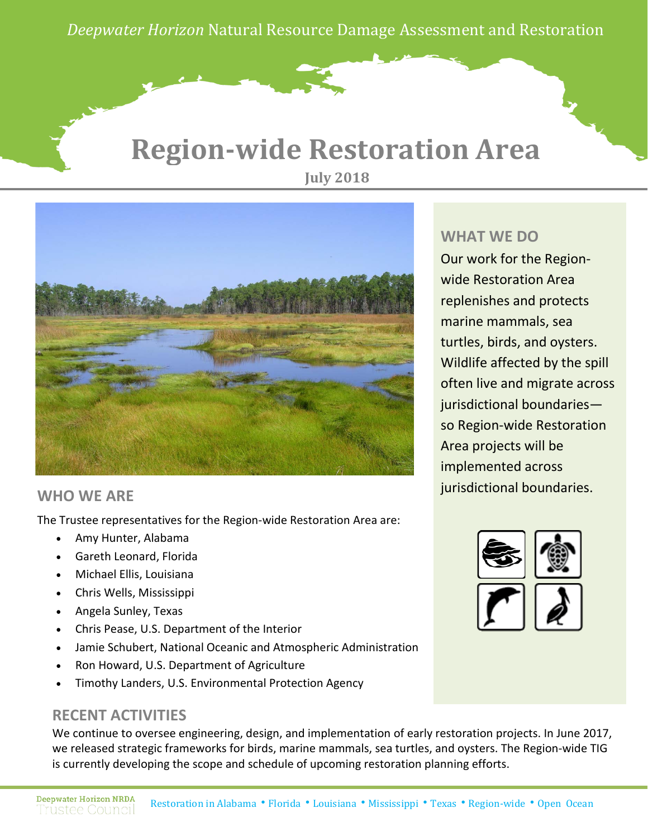*Deepwater Horizon* Natural Resource Damage Assessment and Restoration

### **Region-wide Restoration Area July 2018**



#### **WHO WE ARE**

The Trustee representatives for the Region-wide Restoration Area are:

- Amy Hunter, Alabama
- Gareth Leonard, Florida
- Michael Ellis, Louisiana
- Chris Wells, Mississippi
- Angela Sunley, Texas
- Chris Pease, U.S. Department of the Interior
- Jamie Schubert, National Oceanic and Atmospheric Administration
- Ron Howard, U.S. Department of Agriculture
- Timothy Landers, U.S. Environmental Protection Agency

#### **RECENT ACTIVITIES**

We continue to oversee engineering, design, and implementation of early restoration projects. In June 2017, we released strategic frameworks for birds, marine mammals, sea turtles, and oysters. The Region-wide TIG is currently developing the scope and schedule of upcoming restoration planning efforts.

#### **WHAT WE DO**

Our work for the Regionwide Restoration Area replenishes and protects marine mammals, sea turtles, birds, and oysters. Wildlife affected by the spill often live and migrate across jurisdictional boundaries so Region-wide Restoration Area projects will be implemented across jurisdictional boundaries.